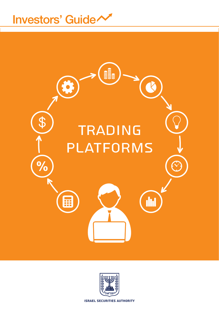# Investors' Guide



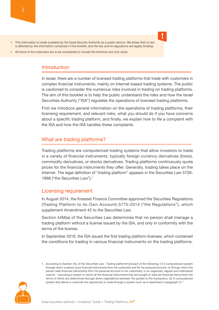- This information is made available by the Israel Security Authority as a public service. We stress that no law is affected by the information contained in this booklet, and the law and its regulations are legally binding.
- All terms in the masculine are to be considered to include the feminine and vice versa

#### **Introduction**

In Israel, there are a number of licensed trading platforms that trade with customers in complex financial instruments, mainly on Internet-based trading systems. The public is cautioned to consider the numerous risks involved in trading on trading platforms. The aim of this booklet is to help the public understand the risks and how the Israel Securities Authority ("ISA") regulates the operations of licensed trading platforms.

**!**

First we introduce general information on the operations of trading platforms, their licensing requirement, and relevant risks, what you should do if you have concerns about a specific trading platform, and finally, we explain how to file a complaint with the ISA and how the ISA handles these complaints.

#### What are trading platforms?

Trading platforms are computerized trading systems that allow investors to trade in a variety of financial instruments, typically foreign currency derivatives (forex), commodity derivatives, or stocks derivatives. Trading platforms continuously quote prices for the financial instruments they offer. Generally, trading takes place on the Internet. The legal definition of "trading platform" appears in the Securities Law 5728-1968 ("the Securities Law").<sup>1</sup>

#### Licensing requirement

In August 2014, the Knesset Finance Committee approved the Securities Regulations (Trading Platform to its Own Account) 5775-2014 ("the Regulations"), which supplement Amendment 42 to the Securities Law.

Section 44M(a) of the Securities Law determines that no person shall manage a trading platform without a license issued by the ISA, and only in conformity with the terms of the license

In September 2016, the ISA issued the first trading platform licenses, which contained the conditions for trading in various financial instruments on the trading platforms.

<sup>1.</sup> According to Section 44L of the Securities Law: Trading platformII [is] each of the following: (1) A computerized system through which a person buys financial instruments from his customers and for his personal account, or through which the person sells financial instruments from his personal account to his customers, in an organized, regular and methodical manner - excluding a system in which all the financial instruments that are bought or sold are financial instruments the terms of which are determined through direct negotiations between the parties to the transaction; (2) A computerized system that allows a customer the opportunity to trade through a system such as is described in paragraph (1)."

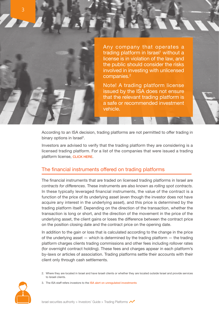

Any company that operates a trading platform in Israel<sup>1</sup> without a license is in violation of the law, and the public should consider the risks involved in investing with unlicensed companies. $2$ 

Note! A trading platform license issued by the ISA does not ensure that the relevant trading platform is a safe or recommended investment .vehicle

According to an ISA decision, trading platforms are not permitted to offer trading in binary options in Israel<sup>3</sup>.

Investors are advised to verify that the trading platform they are considering is a licensed trading platform. For a list of the companies that were issued a trading platform license, CLICK HERE.

## The financial instruments offered on trading platforms

The financial instruments that are traded on licensed trading platforms in Israel are contracts for differences. These instruments are also known as rolling spot contracts. In these typically leveraged financial instruments, the value of the contract is a function of the price of its underlying asset (even though the investor does not have acquire any interest in the underlying asset), and this price is determined by the trading platform itself. Depending on the direction of the transaction, whether the transaction is long or short, and the direction of the movement in the price of the underlying asset, the client gains or loses the difference between the contract price on the position closing date and the contract price on the opening date.

In addition to the gain or loss that is calculated according to the change in the price of the underlying asset  $-$  which is determined by the trading platform  $-$  the trading platform charges clients trading commissions and other fees including rollover rates (for overnight contract holding). These fees and charges appear in each platform's by-laws or articles of association. Trading platforms settle their accounts with their client only through cash settlements.

2. Where they are located in Israel and have Israeli clients or whether they are located outside Israel and provide services to Israeli clients

3. The ISA staff refers investors to the ISA alert on unregulated investments

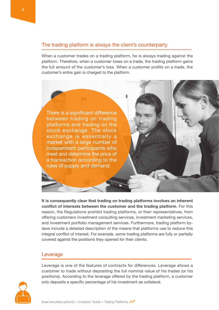## The trading platform is always the client's counterparty

When a customer trades on a trading platform, he is always trading against the platform. Therefore, when a customer loses on a trade, the trading platform gains the full amount of the customer's loss. When a customer profits on a trade, the customer's entire gain is charged to the platform.

There is a significant difference between trading on trading platforms and trading on the stock exchange. The stock exchange is essentially a market with a large number of independent participants who meet and determine the price of a transaction according to the rules of supply and demand.

It is consequently clear that trading on trading platforms involves an inherent **conflict of interests between the customer and the trading platform.** For this reason, the Regulations prohibit trading platforms, or their representatives, from offering customers investment consulting services, investment marketing services, laws include a detailed description of the means that platforms use to reduce this and investment portfolio management services. Furthermore, trading platform byintegral conflict of interest. For example, some trading platforms are fully or partially covered against the positions they opened for their clients.

#### Leverage

Leverage is one of the features of contracts for differences. Leverage allows a customer to trade without depositing the full nominal value of his trades (or his positions). According to the leverage offered by the trading platform, a customer only deposits a specific percentage of his investment as collateral.

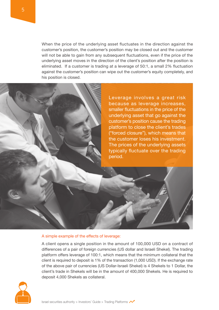When the price of the underlying asset fluctuates in the direction against the customer's position, the customer's position may be closed out and the customer will not be able to gain from any subsequent fluctuations, even if the price of the underlying asset moves in the direction of the client's position after the position is eliminated. If a customer is trading at a leverage of 50:1, a small 2% fluctuation against the customer's position can wipe out the customer's equity completely, and his position is closed.

> Leverage involves a great risk because as leverage increases, smaller fluctuations in the price of the underlying asset that go against the customer's position cause the trading platform to close the client's trades ("forced closure"), which means that the customer loses his investment. The prices of the underlying assets typically fluctuate over the trading period.

#### A simple example of the effects of leverage:

A client opens a single position in the amount of 100,000 USD on a contract of differences of a pair of foreign currencies (US dollar and Israeli Shekel). The trading platform offers leverage of 100:1, which means that the minimum collateral that the client is required to deposit is  $1\%$  of the transaction (1,000 USD). If the exchange rate of the above pair of currencies (US Dollar-Israeli Shekel) is 4 Shekels to 1 Dollar, the client's trade in Shekels will be in the amount of 400,000 Shekels. He is required to deposit 4,000 Shekels as collateral.

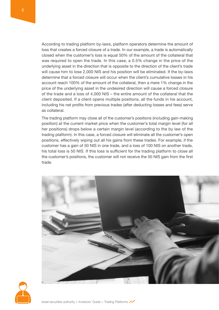According to trading platform by-laws, platform operators determine the amount of loss that creates a forced closure of a trade. In our example, a trade is automatically closed when the customer's loss is equal 50% of the amount of the collateral that was required to open the trade. In this case, a 0.5% change in the price of the underlying asset in the direction that is opposite to the direction of the client's trade will cause him to lose 2,000 NIS and his position will be eliminated. If the by-laws determine that a forced closure will occur when the client's cumulative losses in his account reach 100% of the amount of the collateral, then a mere 1% change in the price of the underlying asset in the undesired direction will cause a forced closure of the trade and a loss of 4,000 NIS – the entire amount of the collateral that the client deposited. If a client opens multiple positions, all the funds in his account. including his net profits from previous trades (after deducting losses and fees) serve as collateral.

The trading platform may close all of the customer's positions (including gain-making position) at the current market price when the customer's total margin level (for all her positions) drops below a certain margin level (according to the by law of the trading platform). In this case, a forced closure will eliminate all the customer's open positions, effectively wiping out all his gains from these trades. For example, if the customer has a gain of 50 NIS in one trade, and a loss of 100 NIS on another trade, his total loss is 50 NIS. If this loss is sufficient for the trading platform to close all the customer's positions, the customer will not receive the 50 NIS gain from the first trade.



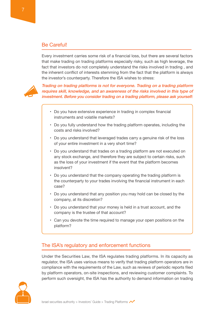Every investment carries some risk of a financial loss, but there are several factors that make trading on trading platforms especially risky, such as high leverage, the fact that investors do not completely understand the risks involved in trading, and the inherent conflict of interests stemming from the fact that the platform is always the investor's counterparty. Therefore the ISA wishes to stress:



Trading on trading platforms is not for everyone. Trading on a trading platform requires skill, knowledge, and an awareness of the risks involved in this type of investment. Before you consider trading on a trading platform, please ask yourself:

- Do you have extensive experience in trading in complex financial instruments and volatile markets?
- Do you fully understand how the trading platform operates, including the costs and risks involved?
- Do you understand that leveraged trades carry a genuine risk of the loss of your entire investment in a very short time?
- Do you understand that trades on a trading platform are not executed on any stock exchange, and therefore they are subject to certain risks, such as the loss of your investment if the event that the platform becomes ?insolvent
- Do you understand that the company operating the trading platform is the counterparty to your trades involving the financial instrument in each ?case
- Do you understand that any position you may hold can be closed by the company, at its discretion?
- Do you understand that your money is held in a trust account, and the company is the trustee of that account?
- Can you devote the time required to manage your open positions on the platform?

## The ISA's regulatory and enforcement functions

Under the Securities Law, the ISA regulates trading platforms. In its capacity as regulator, the ISA uses various means to verify that trading platform operators are in compliance with the requirements of the Law, such as reviews of periodic reports filed by platform operators, on-site inspections, and reviewing customer complaints. To perform such oversight, the ISA has the authority to demand information on trading

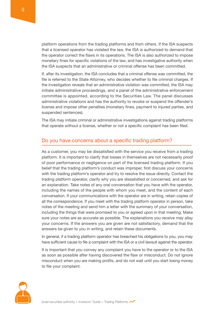platform operations from the trading platforms and from others. If the ISA suspects that a licensed operator has violated the law, the ISA is authorized to demand that the operator correct the flaws in its operations. The ISA is also authorized to impose monetary fines for specific violations of the law, and has investigative authority when the ISA suspects that an administrative or criminal offense has been committed.

If, after its investigation, the ISA concludes that a criminal offense was committed, the file is referred to the State Attorney, who decides whether to file criminal charges. If the investigation reveals that an administrative violation was committed, the ISA may initiate administrative proceedings, and a panel of the administrative enforcement committee is appointed, according to the Securities Law. The panel discusses administrative violations and has the authority to revoke or suspend the offender's license and impose other penalties (monetary fines, payment to injured parties, and suspended sentences).

The ISA may initiate criminal or administrative investigations against trading platforms that operate without a license, whether or not a specific complaint has been filed.

### Do you have concerns about a specific trading platform?

As a customer, you may be dissatisfied with the service you receive from a trading platform. It is important to clarify that losses in themselves are not necessarily proof of poor performance or negligence on part of the licensed trading platform. If you belief that the trading platform's conduct was improper, first discuss your concerns with the trading platform's operator and try to resolve the issue directly. Contact the trading platform operator, clarify why you are dissatisfied or concerned, and ask for an explanation. Take notes of any oral conversation that you have with the operator, including the names of the people with whom you meet, and the content of each conversation. If your communications with the operator are in writing, retain copies of all the correspondence. If you meet with the trading platform operator in person, take notes of the meeting and send him a letter with the summary of your conversation, including the things that were promised to you or agreed upon in that meeting. Make sure your notes are as accurate as possible. The explanations you receive may allay your concerns. If the answers you are given are not satisfactory, demand that the answers be given to you in writing, and retain these documents.

In general, if a trading platform operator has breached his obligations to you, you may have sufficient cause to file a complaint with the ISA or a civil lawsuit against the operator.

It is important that you convey any complaint you have to the operator or to the ISA as soon as possible after having discovered the flaw or misconduct. Do not ignore misconduct when you are making profits, and do not wait until you start losing money to file your complaint.